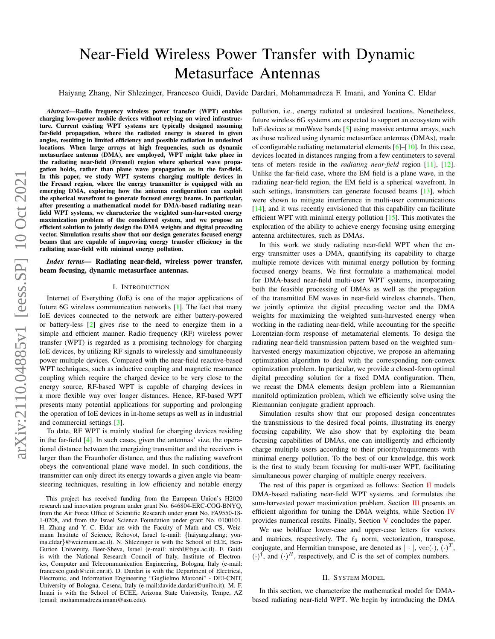# Near-Field Wireless Power Transfer with Dynamic Metasurface Antennas

Haiyang Zhang, Nir Shlezinger, Francesco Guidi, Davide Dardari, Mohammadreza F. Imani, and Yonina C. Eldar

*Abstract*—Radio frequency wireless power transfer (WPT) enables charging low-power mobile devices without relying on wired infrastructure. Current existing WPT systems are typically designed assuming far-field propagation, where the radiated energy is steered in given angles, resulting in limited efficiency and possible radiation in undesired locations. When large arrays at high frequencies, such as dynamic metasurface antenna (DMA), are employed, WPT might take place in the radiating near-field (Fresnel) region where spherical wave propagation holds, rather than plane wave propagation as in the far-field. In this paper, we study WPT systems charging multiple devices in the Fresnel region, where the energy transmitter is equipped with an emerging DMA, exploring how the antenna configuration can exploit the spherical wavefront to generate focused energy beams. In particular, after presenting a mathematical model for DMA-based radiating nearfield WPT systems, we characterize the weighted sum-harvested energy maximization problem of the considered system, and we propose an efficient solution to jointly design the DMA weights and digital precoding vector. Simulation results show that our design generates focused energy beams that are capable of improving energy transfer efficiency in the radiating near-field with minimal energy pollution.

*Index terms—* Radiating near-field, wireless power transfer, beam focusing, dynamic metasurface antennas.

## I. INTRODUCTION

Internet of Everything (IoE) is one of the major applications of future 6G wireless communication networks [\[1\]](#page-4-0). The fact that many IoE devices connected to the network are either battery-powered or battery-less [\[2\]](#page-4-1) gives rise to the need to energize them in a simple and efficient manner. Radio frequency (RF) wireless power transfer (WPT) is regarded as a promising technology for charging IoE devices, by utilizing RF signals to wirelessly and simultaneously power multiple devices. Compared with the near-field reactive-based WPT techniques, such as inductive coupling and magnetic resonance coupling which require the charged device to be very close to the energy source, RF-based WPT is capable of charging devices in a more flexible way over longer distances. Hence, RF-based WPT presents many potential applications for supporting and prolonging the operation of IoE devices in in-home setups as well as in industrial and commercial settings [\[3\]](#page-4-2).

To date, RF WPT is mainly studied for charging devices residing in the far-field [\[4\]](#page-4-3). In such cases, given the antennas' size, the operational distance between the energizing transmitter and the receivers is larger than the Fraunhofer distance, and thus the radiating wavefront obeys the conventional plane wave model. In such conditions, the transmitter can only direct its energy towards a given angle via beamsteering techniques, resulting in low efficiency and notable energy pollution, i.e., energy radiated at undesired locations. Nonetheless, future wireless 6G systems are expected to support an ecosystem with IoE devices at mmWave bands [\[5\]](#page-4-4) using massive antenna arrays, such as those realized using dynamic metasurface antennas (DMAs), made of configurable radiating metamaterial elements  $[6]$ – $[10]$ . In this case, devices located in distances ranging from a few centimeters to several tens of meters reside in the *radiating near-field* region [\[11\]](#page-4-7), [\[12\]](#page-4-8). Unlike the far-field case, where the EM field is a plane wave, in the radiating near-field region, the EM field is a spherical wavefront. In such settings, transmitters can generate focused beams [\[13\]](#page-4-9), which were shown to mitigate interference in multi-user communications [\[14\]](#page-4-10), and it was recently envisioned that this capability can facilitate efficient WPT with minimal energy pollution [\[15\]](#page-4-11). This motivates the exploration of the ability to achieve energy focusing using emerging antenna architectures, such as DMAs.

In this work we study radiating near-field WPT when the energy transmitter uses a DMA, quantifying its capability to charge multiple remote devices with minimal energy pollution by forming focused energy beams. We first formulate a mathematical model for DMA-based near-field multi-user WPT systems, incorporating both the feasible processing of DMAs as well as the propagation of the transmitted EM waves in near-field wireless channels. Then, we jointly optimize the digital precoding vector and the DMA weights for maximizing the weighted sum-harvested energy when working in the radiating near-field, while accounting for the specific Lorentzian-form response of metamaterial elements. To design the radiating near-field transmission pattern based on the weighted sumharvested energy maximization objective, we propose an alternating optimization algorithm to deal with the corresponding non-convex optimization problem. In particular, we provide a closed-form optimal digital precoding solution for a fixed DMA configuration. Then, we recast the DMA elements design problem into a Riemannian manifold optimization problem, which we efficiently solve using the Riemannian conjugate gradient approach.

Simulation results show that our proposed design concentrates the transmissions to the desired focal points, illustrating its energy focusing capability. We also show that by exploiting the beam focusing capabilities of DMAs, one can intelligently and efficiently charge multiple users according to their priority/requirements with minimal energy pollution. To the best of our knowledge, this work is the first to study beam focusing for multi-user WPT, facilitating simultaneous power charging of multiple energy receivers.

The rest of this paper is organized as follows: Section [II](#page-0-0) models DMA-based radiating near-field WPT systems, and formulates the sum-harvested power maximization problem. Section [III](#page-2-0) presents an efficient algorithm for tuning the DMA weights, while Section [IV](#page-3-0) provides numerical results. Finally, Section [V](#page-3-1) concludes the paper.

We use boldface lower-case and upper-case letters for vectors and matrices, respectively. The  $\ell_2$  norm, vectorization, transpose, conjugate, and Hermitian transpose, are denoted as  $\|\cdot\|$ , vec $(\cdot)$ ,  $(\cdot)^T$ ,  $(\cdot)^{\dagger}$ , and  $(\cdot)^{H}$ , respectively, and  $\mathbb C$  is the set of complex numbers.

# II. SYSTEM MODEL

<span id="page-0-0"></span>In this section, we characterize the mathematical model for DMAbased radiating near-field WPT. We begin by introducing the DMA

This project has received funding from the European Union's H2020 research and innovation program under grant No. 646804-ERC-COG-BNYQ, from the Air Force Office of Scientific Research under grant No. FA9550-18- 1-0208, and from the Israel Science Foundation under grant No. 0100101. H. Zhang and Y. C. Eldar are with the Faculty of Math and CS, Weizmann Institute of Science, Rehovot, Israel (e-mail: {haiyang.zhang; yonina.eldar}@weizmann.ac.il). N. Shlezinger is with the School of ECE, Ben-Gurion University, Beer-Sheva, Israel (e-mail: nirshl@bgu.ac.il). F. Guidi is with the National Research Council of Italy, Institute of Electronics, Computer and Telecommunication Engineering, Bologna, Italy (e-mail: francesco.guidi@ieiit.cnr.it). D. Dardari is with the Department of Electrical, Electronic, and Information Engineering "Guglielmo Marconi" - DEI-CNIT, University of Bologna, Cesena, Italy (e-mail:davide.dardari@unibo.it). M. F. Imani is with the School of ECEE, Arizona State University, Tempe, AZ (email: mohammadreza.imani@asu.edu).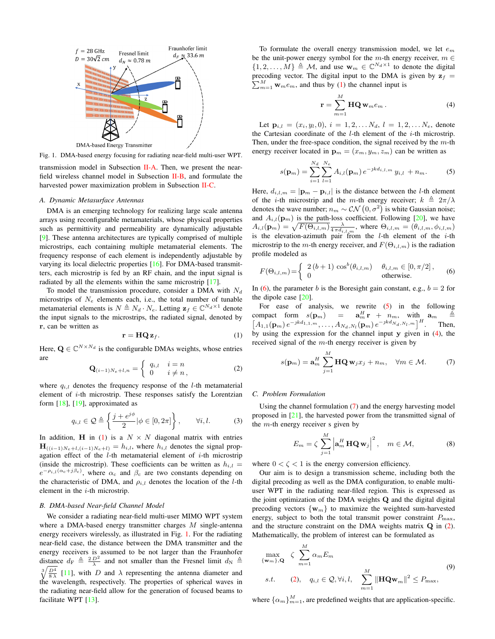

Fig. 1. DMA-based energy focusing for radiating near-field multi-user WPT.

transmission model in Subsection [II-A.](#page-1-0) Then, we present the nearfield wireless channel model in Subsection [II-B,](#page-1-1) and formulate the harvested power maximization problem in Subsection [II-C.](#page-1-2)

# <span id="page-1-0"></span>*A. Dynamic Metasurface Antennas*

DMA is an emerging technology for realizing large scale antenna arrays using reconfigurable metamaterials, whose physical properties such as permittivity and permeability are dynamically adjustable [\[9\]](#page-4-12). These antenna architectures are typically comprised of multiple microstrips, each containing multiple metamaterial elements. The frequency response of each element is independently adjustable by varying its local dielectric properties [\[16\]](#page-4-13). For DMA-based transmitters, each microstrip is fed by an RF chain, and the input signal is radiated by all the elements within the same microstrip [\[17\]](#page-4-14).

To model the transmission procedure, consider a DMA with  $N_d$ microstrips of  $N_e$  elements each, i.e., the total number of tunable metamaterial elements is  $N \triangleq N_d \cdot N_e$ . Letting  $\mathbf{z}_f \in \mathbb{C}^{N_d \times 1}$  denote the input signals to the microstrips, the radiated signal, denoted by r, can be written as

<span id="page-1-3"></span>
$$
\mathbf{r} = \mathbf{H} \mathbf{Q} \mathbf{z}_f. \tag{1}
$$

Here,  $\mathbf{Q} \in \mathbb{C}^{N \times N_d}$  is the configurable DMAs weights, whose entries are

<span id="page-1-9"></span>
$$
\mathbf{Q}_{(i-1)N_e+l,n} = \begin{cases} q_{i,l} & i = n \\ 0 & i \neq n \end{cases} \tag{2}
$$

where  $q_{i,l}$  denotes the frequency response of the *l*-th metamaterial element of i-th microstrip. These responses satisfy the Lorentzian form  $[18]$ ,  $[19]$ , approximated as

<span id="page-1-11"></span>
$$
q_{i,l} \in \mathcal{Q} \triangleq \left\{ \frac{j + e^{j\phi}}{2} | \phi \in [0, 2\pi] \right\}, \qquad \forall i, l.
$$
 (3)

In addition, H in [\(1\)](#page-1-3) is a  $N \times N$  diagonal matrix with entries  $\mathbf{H}_{((i-1)N_e+l,(i-1)N_e+l)} = h_{i,l}$ , where  $h_{i,l}$  denotes the signal propagation effect of the  $l$ -th metamaterial element of  $i$ -th microstrip (inside the microstrip). These coefficients can be written as  $h_{i,l} =$  $e^{-\rho_{i,l}(\alpha_c+j\beta_c)}$ , where  $\alpha_c$  and  $\beta_c$  are two constants depending on the characteristic of DMA, and  $\rho_{i,l}$  denotes the location of the *l*-th element in the i-th microstrip.

## <span id="page-1-1"></span>*B. DMA-based Near-field Channel Model*

We consider a radiating near-field multi-user MIMO WPT system where a DMA-based energy transmitter charges M single-antenna energy receivers wirelessly, as illustrated in Fig. [1.](#page-1-4) For the radiating near-field case, the distance between the DMA transmitter and the energy receivers is assumed to be not larger than the Fraunhofer distance  $d_F \triangleq \frac{2 D^2}{\lambda}$  and not smaller than the Fresnel limit  $d_N \triangleq$  $\sqrt[3]{\frac{D^4}{8\lambda}}$  [\[11\]](#page-4-7), with D and  $\lambda$  representing the antenna diameter and the wavelength, respectively. The properties of spherical waves in the radiating near-field allow for the generation of focused beams to facilitate WPT [\[13\]](#page-4-9).

To formulate the overall energy transmission model, we let  $e_m$ be the unit-power energy symbol for the  $m$ -th energy receiver,  $m \in$  $\{1, 2, \ldots, M\} \triangleq M$ , and use  $\mathbf{w}_m \in \mathbb{C}^{N_d \times 1}$  to denote the digital precoding vector. The digital input to the DMA is given by  $z_f$  = precoding vector. The digital input to the DMA is given by  $\mathbf{z}_f = \sum_{m=1}^{M} \mathbf{w}_m e_m$ , and thus by [\(1\)](#page-1-3) the channel input is

<span id="page-1-7"></span>
$$
\mathbf{r} = \sum_{m=1}^{M} \mathbf{HQ} \mathbf{w}_{m} e_{m} . \tag{4}
$$

<span id="page-1-4"></span>Let  $\mathbf{p}_{i,l} = (x_i, y_l, 0), i = 1, 2, \ldots N_d, l = 1, 2, \ldots N_e$ , denote the Cartesian coordinate of the  $l$ -th element of the  $i$ -th microstrip. Then, under the free-space condition, the signal received by the  $m$ -th energy receiver located in  $\mathbf{p}_m = (x_m, y_m, z_m)$  can be written as

<span id="page-1-6"></span>
$$
s(\mathbf{p}_m) = \sum_{i=1}^{N_d} \sum_{l=1}^{N_e} A_{i,l}(\mathbf{p}_m) e^{-jkd_{i,l,m}} y_{i,l} + n_m.
$$
 (5)

Here,  $d_{i,l,m} = |\mathbf{p}_m - \mathbf{p}_{i,l}|$  is the distance between the *l*-th element of the *i*-th microstrip and the m-th energy receiver;  $k \triangleq 2\pi/\lambda$ denotes the wave number;  $n_m \sim \mathcal{CN}(0, \sigma^2)$  is white Gaussian noise; and  $A_{i,l}(\mathbf{p}_m)$  is the path-loss coefficient. Following [\[20\]](#page-4-17), we have  $A_{i,l}(\mathbf{p}_m) = \sqrt{F(\Theta_{i,l,m})} \frac{\lambda}{4 \pi d_{i,l,m}}, \text{ where } \Theta_{i,l,m} = (\theta_{i,l,m}, \phi_{i,l,m})$ is the elevation-azimuth pair from the  $l$ -th element of the  $i$ -th microstrip to the m-th energy receiver, and  $F(\Theta_{i,l,m})$  is the radiation profile modeled as

<span id="page-1-5"></span>
$$
F(\Theta_{i,l,m}) = \begin{cases} 2(b+1)\cos^{b}(\theta_{i,l,m}) & \theta_{i,l,m} \in [0,\pi/2], \\ 0 & \text{otherwise.} \end{cases}
$$
 (6)

In [\(6\)](#page-1-5), the parameter b is the Boresight gain constant, e.g.,  $b = 2$  for the dipole case [\[20\]](#page-4-17).

For ease of analysis, we rewrite [\(5\)](#page-1-6) in the following compact form  $s(\mathbf{p}_m)$  =  $\mathbf{a}_m^H \mathbf{r} + n_m$ , with  $\mathbf{a}_m$   $\triangleq$  $[A_{1,1}(\mathbf{p}_m) e^{-jkd_{1,1,m}}, \ldots, A_{N_d,N_l}(\mathbf{p}_m) e^{-jkd_{N_d,N_l,m}}]^H$ . Then, by using the expression for the channel input y given in [\(4\)](#page-1-7), the received signal of the  $m$ -th energy receiver is given by

<span id="page-1-8"></span>
$$
s(\mathbf{p}_m) = \mathbf{a}_m^H \sum_{j=1}^M \mathbf{HQ} \mathbf{w}_j x_j + n_m, \quad \forall m \in \mathcal{M}.
$$
 (7)

#### <span id="page-1-2"></span>*C. Problem Formulation*

Using the channel formulation [\(7\)](#page-1-8) and the energy harvesting model proposed in [\[21\]](#page-4-18), the harvested power from the transmitted signal of the  $m$ -th energy receiver s given by

$$
E_m = \zeta \sum_{j=1}^{M} \left| \mathbf{a}_m^H \mathbf{H} \mathbf{Q} \mathbf{w}_j \right|^2, \quad m \in \mathcal{M}, \tag{8}
$$

where  $0 < \zeta < 1$  is the energy conversion efficiency.

Our aim is to design a transmission scheme, including both the digital precoding as well as the DMA configuration, to enable multiuser WPT in the radiating near-filed region. This is expressed as the joint optimization of the DMA weights Q and the digital digital precoding vectors  $\{w_m\}$  to maximize the weighted sum-harvested energy, subject to both the total transmit power constraint  $P_{\text{max}}$ , and the structure constraint on the DMA weights matrix  $Q$  in  $(2)$ . Mathematically, the problem of interest can be formulated as

<span id="page-1-10"></span>
$$
\max_{\{\mathbf{w}_m\},\mathbf{Q}} \zeta \sum_{m=1}^{M} \alpha_m E_m
$$
\ns.t. (2),  $q_{i,l} \in \mathcal{Q}, \forall i, l, \sum_{m=1}^{M} \|\mathbf{HQw}_m\|^2 \le P_{\text{max}},$  (9)

where  $\{\alpha_m\}_{m=1}^M$ , are predefined weights that are application-specific.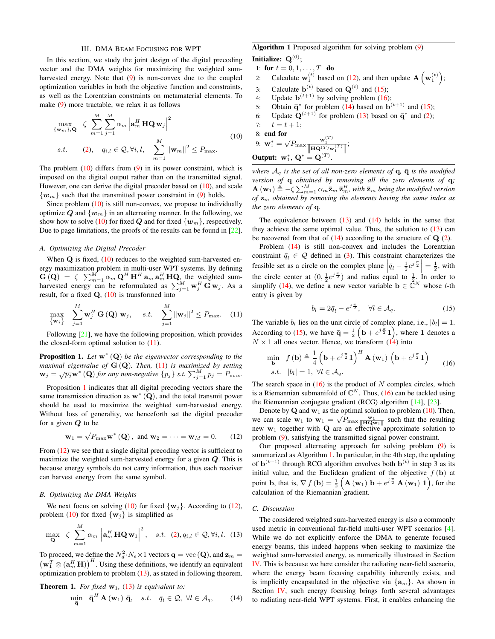## III. DMA BEAM FOCUSING FOR WPT

<span id="page-2-0"></span>In this section, we study the joint design of the digital precoding vector and the DMA weights for maximizing the weighted sumharvested energy. Note that  $(9)$  is non-convex due to the coupled optimization variables in both the objective function and constraints, as well as the Lorentzian constraints on metamaterial elements. To make [\(9\)](#page-1-10) more tractable, we relax it as follows

<span id="page-2-1"></span>
$$
\max_{\{\mathbf{w}_m\},\mathbf{Q}} \quad \zeta \sum_{m=1}^{M} \sum_{j=1}^{M} \alpha_m \left| \mathbf{a}_m^H \mathbf{H} \mathbf{Q} \mathbf{w}_j \right|^2
$$
\n
$$
s.t. \qquad (2), \quad q_{i,l} \in \mathcal{Q}, \forall i, l, \quad \sum_{m=1}^{M} \left\| \mathbf{w}_m \right\|^2 \le P_{\text{max}}. \tag{10}
$$

The problem  $(10)$  differs from  $(9)$  in its power constraint, which is imposed on the digital output rather than on the transmitted signal. However, one can derive the digital precoder based on [\(10\)](#page-2-1), and scale  $\{w_m\}$  such that the transmitted power constraint in [\(9\)](#page-1-10) holds.

Since problem  $(10)$  is still non-convex, we propose to individually optimize Q and  $\{w_m\}$  in an alternating manner. In the following, we show how to solve [\(10\)](#page-2-1) for fixed  $Q$  and for fixed  $\{w_m\}$ , respectively. Due to page limitations, the proofs of the results can be found in [\[22\]](#page-4-19).

## *A. Optimizing the Digital Precoder*

When  $Q$  is fixed,  $(10)$  reduces to the weighted sum-harvested energy maximization problem in multi-user WPT systems. By defining  $\mathbf{G}(\mathbf{Q}) = \zeta \sum_{m=1}^{M} \alpha_m \mathbf{Q}^H \mathbf{H}^H \mathbf{a}_m \mathbf{a}_m^H \mathbf{H} \mathbf{Q}$ , the weighted sumharvested energy can be reformulated as  $\sum_{j=1}^{M} \mathbf{w}_j^H \mathbf{G} \mathbf{w}_j$ . As a result, for a fixed  $Q_1(10)$  $Q_1(10)$  is transformed into

<span id="page-2-2"></span>
$$
\max_{\{\mathbf{w}_j\}} \sum_{j=1}^M \mathbf{w}_j^H \mathbf{G}\left(\mathbf{Q}\right) \mathbf{w}_j, \quad s.t. \quad \sum_{j=1}^M \|\mathbf{w}_j\|^2 \le P_{\text{max}}.\tag{11}
$$

Following [\[21\]](#page-4-18), we have the following proposition, which provides the closed-form optimal solution to  $(11)$ .

<span id="page-2-3"></span>Proposition 1. *Let* w<sup>∗</sup> (Q) *be the eigenvector corresponding to the maximal eigenvalue of* G (Q)*. Then,* [\(11\)](#page-2-2) *is maximized by setting*  $\mathbf{w}_j = \sqrt{p_j} \mathbf{w}^* (\mathbf{Q})$  *for any non-negative* { $p_j$ } *s.t.*  $\sum_{j=1}^M p_j = P_{\text{max}}$ .

Proposition [1](#page-2-3) indicates that all digital precoding vectors share the same transmission direction as  $w^* (Q)$ , and the total transmit power should be used to maximize the weighted sum-harvested energy. Without loss of generality, we henceforth set the digital precoder for a given  $Q$  to be

<span id="page-2-4"></span>
$$
\mathbf{w}_1 = \sqrt{P_{\text{max}}}\mathbf{w}^*(\mathbf{Q}), \text{ and } \mathbf{w}_2 = \cdots = \mathbf{w}_M = 0.
$$
 (12)

From [\(12\)](#page-2-4) we see that a single digital precoding vector is sufficient to maximize the weighted sum-harvested energy for a given  $Q$ . This is because energy symbols do not carry information, thus each receiver can harvest energy from the same symbol.

#### *B. Optimizing the DMA Weights*

We next focus on solving [\(10\)](#page-2-1) for fixed  $\{w_i\}$ . According to [\(12\)](#page-2-4), problem [\(10\)](#page-2-1) for fixed  $\{w_j\}$  is simplified as

<span id="page-2-5"></span>
$$
\max_{\mathbf{Q}} \quad \zeta \sum_{m=1}^{M} \alpha_m \left| \mathbf{a}_m^H \mathbf{H} \mathbf{Q} \mathbf{w}_1 \right|^2, \quad s.t. \quad (2), q_{i,l} \in \mathcal{Q}, \forall i, l. \quad (13)
$$

To proceed, we define the  $N_d^2 \cdot N_e \times 1$  vectors  $\mathbf{q} = \text{vec}(\mathbf{Q})$ , and  $\mathbf{z}_m =$  $(\mathbf{w}_1^T \otimes (\mathbf{a}_m^H \mathbf{H}))$ <sup>H</sup>. Using these definitions, we identify an equivalent optimization problem to problem [\(13\)](#page-2-5), as stated in following theorem.

**Theorem 1.** For fixed  $w_1$ , [\(13\)](#page-2-5) is equivalent to:

<span id="page-2-8"></span>
$$
\min_{\overline{\mathbf{q}}} \quad \overline{\mathbf{q}}^H \mathbf{A}(\mathbf{w}_1) \mathbf{\overline{q}}, \quad s.t. \quad \overline{q}_l \in \mathcal{Q}, \ \forall l \in \mathcal{A}_q, \tag{14}
$$

# Algorithm 1 Proposed algorithm for solving problem [\(9\)](#page-1-10)

<span id="page-2-9"></span>Initialize:  $Q^{(0)}$ ; 1: for  $t = 0, 1, ..., T$  do 2: Calculate  $\mathbf{w}_1^{(t)}$  based on [\(12\)](#page-2-4), and then update  $\mathbf{A} \left( \mathbf{w}_1^{(t)} \right)$ ; 3: Calculate  $\mathbf{b}^{(t)}$  based on  $\mathbf{Q}^{(t)}$  and [\(15\)](#page-2-6); 4: Update  $\mathbf{b}^{(t+1)}$  by solving problem [\(16\)](#page-2-7); 5: Obtain  $\bar{q}^*$  for problem [\(14\)](#page-2-8) based on  $\mathbf{b}^{(t+1)}$  and [\(15\)](#page-2-6); 6: Update  $\mathbf{Q}^{(t+1)}$  for problem [\(13\)](#page-2-5) based on  $\bar{\mathbf{q}}^*$  and [\(2\)](#page-1-9); 7:  $t = t + 1;$ 8: end for 9:  $\mathbf{w}_1^* = \sqrt{P_{\text{max}}} \frac{\mathbf{w}_1^{(T)}}{\|\mathbf{HQ}^{(T)}\mathbf{w}_1^{(T)}\|}$ ;

$$
\textbf{Output: } \mathbf{w}_1^*, \ \mathbf{Q}^* = \mathbf{Q}^{(T)}.
$$

*where*  $A_q$  *is the set of all non-zero elements of*  $q$ ,  $\bar{q}$  *is the modified version of* q *obtained by removing all the zero elements of* q*;*  $\mathbf{A}\left(\mathbf{w}_{1}\right)\triangleq-\zeta\sum_{m=1}^{M}\alpha_{m}\mathbf{\bar{z}}_{m}\mathbf{\bar{z}}_{m}^{H},$  with  $\mathbf{\bar{z}}_{m}$  being the modified version *of*  $z_m$  *obtained by removing the elements having the same index as the zero elements of* q*.*

The equivalence between  $(13)$  and  $(14)$  holds in the sense that they achieve the same optimal value. Thus, the solution to  $(13)$  can be recovered from that of  $(14)$  according to the structure of  $Q(2)$  $Q(2)$ .

Problem [\(14\)](#page-2-8) is still non-convex and includes the Lorentzian constraint  $\bar{q}_l \in \mathcal{Q}$  defined in [\(3\)](#page-1-11). This constraint characterizes the feasible set as a circle on the complex plane  $\left| \bar{q}_l - \frac{1}{2} e^{j \frac{\pi}{2}} \right| = \frac{1}{2}$ , with the circle center at  $(0, \frac{1}{2}e^{j\frac{\pi}{2}})$  and radius equal to  $\frac{1}{2}$ . In order to simplify [\(14\)](#page-2-8), we define a new vector variable  $\mathbf{b} \in \tilde{\mathbb{C}}^N$  whose *l*-th entry is given by

<span id="page-2-6"></span>
$$
b_l = 2\bar{q}_l - e^{j\frac{\pi}{2}}, \quad \forall l \in \mathcal{A}_q.
$$
 (15)

The variable  $b_l$  lies on the unit circle of complex plane, i.e.,  $|b_l| = 1$ . According to [\(15\)](#page-2-6), we have  $\bar{\mathbf{q}} = \frac{1}{2} \left( \mathbf{b} + e^{j \frac{\pi}{2}} \mathbf{1} \right)$ , where 1 denotes a  $N \times 1$  all ones vector. Hence, we transform [\(14\)](#page-2-8) into

<span id="page-2-7"></span>
$$
\min_{\mathbf{b}} f(\mathbf{b}) \triangleq \frac{1}{4} \left( \mathbf{b} + e^{j\frac{\pi}{2}} \mathbf{1} \right)^{H} \mathbf{A}(\mathbf{w}_{1}) \left( \mathbf{b} + e^{j\frac{\pi}{2}} \mathbf{1} \right) \ns.t. \quad |b_{l}| = 1, \ \forall l \in \mathcal{A}_{q}.
$$
\n(16)

The search space in  $(16)$  is the product of N complex circles, which is a Riemannian submanifold of  $\mathbb{C}^N$ . Thus, [\(16\)](#page-2-7) can be tackled using the Riemannian conjugate gradient (RCG) algorithm [\[14\]](#page-4-10), [\[23\]](#page-4-20).

Denote by Q and  $w_1$  as the optimal solution to problem [\(10\)](#page-2-1). Then, we can scale  $\mathbf{w}_1$  to  $\mathbf{w}_1 = \sqrt{P_{\text{max}}} \frac{\mathbf{w}_1}{\|\mathbf{HQw}_1\|}$  such that the resulting new  $w_1$  together with  $Q$  are an effective approximate solution to problem [\(9\)](#page-1-10), satisfying the transmitted signal power constraint.

Our proposed alternating approach for solving problem [\(9\)](#page-1-10) is summarized as Algorithm [1.](#page-2-9) In particular, in the 4th step, the updating of  $\mathbf{b}^{(t+1)}$  through RCG algorithm envolves both  $\mathbf{b}^{(t)}$  in step 3 as its initial value, and the Euclidean gradient of the objective  $f(\mathbf{b})$  at point **b**, that is,  $\nabla f(\mathbf{b}) = \frac{1}{2} \left( \mathbf{A}(\mathbf{w}_1) \mathbf{b} + e^{j\frac{\pi}{2}} \mathbf{A}(\mathbf{w}_1) \mathbf{1} \right)$ , for the calculation of the Riemannian gradient.

# *C. Discussion*

The considered weighted sum-harvested energy is also a commonly used metric in conventional far-field multi-user WPT scenarios [\[4\]](#page-4-3). While we do not explicitly enforce the DMA to generate focused energy beams, this indeed happens when seeking to maximize the weighted sum-harvested energy, as numerically illustrated in Section [IV.](#page-3-0) This is because we here consider the radiating near-field scenario, where the energy beam focusing capability inherently exists, and is implicitly encapsulated in the objective via  $\{a_m\}$ . As shown in Section [IV,](#page-3-0) such energy focusing brings forth several advantages to radiating near-field WPT systems. First, it enables enhancing the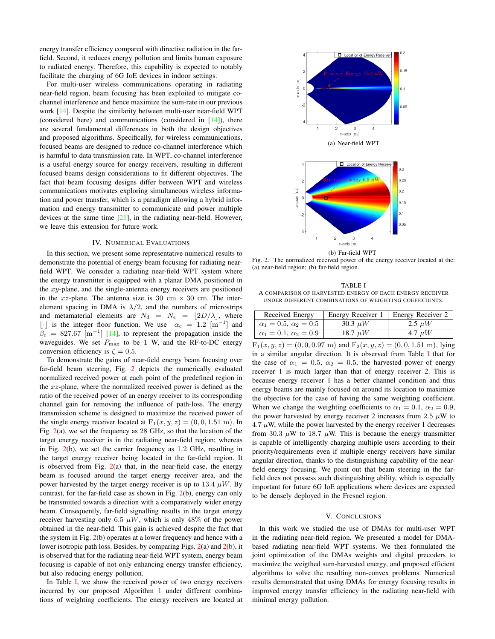energy transfer efficiency compared with directive radiation in the farfield. Second, it reduces energy pollution and limits human exposure to radiated energy. Therefore, this capability is expected to notably facilitate the charging of 6G IoE devices in indoor settings.

For multi-user wireless communications operating in radiating near-field region, beam focusing has been exploited to mitigate cochannel interference and hence maximize the sum-rate in our previous work [\[14\]](#page-4-10). Despite the similarity between multi-user near-field WPT (considered here) and communications (considered in [\[14\]](#page-4-10)), there are several fundamental differences in both the design objectives and proposed algorithms. Specifically, for wireless communications, focused beams are designed to reduce co-channel interference which is harmful to data transmission rate. In WPT, co-channel interference is a useful energy source for energy receivers, resulting in different focused beams design considerations to fit different objectives. The fact that beam focusing designs differ between WPT and wireless communications motivates exploring simultaneous wireless information and power transfer, which is a paradigm allowing a hybrid information and energy transmitter to communicate and power multiple devices at the same time [\[21\]](#page-4-18), in the radiating near-field. However, we leave this extension for future work.

## IV. NUMERICAL EVALUATIONS

<span id="page-3-0"></span>In this section, we present some representative numerical results to demonstrate the potential of energy beam focusing for radiating nearfield WPT. We consider a radiating near-field WPT system where the energy transmitter is equipped with a planar DMA positioned in the xy-plane, and the single-antenna energy receivers are positioned in the xz-plane. The antenna size is 30 cm  $\times$  30 cm. The interelement spacing in DMA is  $\lambda/2$ , and the numbers of microstrips and metamaterial elements are  $N_d = N_e = |2D/\lambda|$ , where [⋅] is the integer floor function. We use  $\alpha_c = 1.2$  [m<sup>-1</sup>] and  $\beta_c = 827.67 \text{ [m}^{-1}$ ] [\[14\]](#page-4-10), to represent the propagation inside the waveguides. We set  $P_{\text{max}}$  to be 1 W, and the RF-to-DC energy conversion efficiency is  $\zeta = 0.5$ .

To demonstrate the gains of near-field energy beam focusing over far-field beam steering, Fig. [2](#page-3-2) depicts the numerically evaluated normalized received power at each point of the predefined region in the xz-plane, where the normalized received power is defined as the ratio of the received power of an energy receiver to its corresponding channel gain for removing the influence of path-loss. The energy transmission scheme is designed to maximize the received power of the single energy receiver located at  $F_1(x, y, z) = (0, 0, 1.51 \text{ m})$ . In Fig. [2\(](#page-3-2)a), we set the frequency as 28 GHz, so that the location of the target energy receiver is in the radiating near-field region; whereas in Fig. [2\(](#page-3-2)b), we set the carrier frequency as 1.2 GHz, resulting in the target energy receiver being located in the far-field region. It is observed from Fig.  $2(a)$  $2(a)$  that, in the near-field case, the energy beam is focused around the target energy receiver area, and the power harvested by the target energy receiver is up to 13.4  $\mu$ W. By contrast, for the far-field case as shown in Fig. [2\(](#page-3-2)b), energy can only be transmitted towards a direction with a comparatively wider energy beam. Consequently, far-field signalling results in the target energy receiver harvesting only 6.5  $\mu$ W, which is only 48% of the power obtained in the near-field. This gain is achieved despite the fact that the system in Fig. [2\(](#page-3-2)b) operates at a lower frequency and hence with a lower isotropic path loss. Besides, by comparing Figs. [2\(](#page-3-2)a) and [2\(](#page-3-2)b), it is observed that for the radiating near-field WPT system, energy beam focusing is capable of not only enhancing energy transfer efficiency, but also reducing energy pollution.

In Table [I,](#page-3-3) we show the received power of two energy receivers incurred by our proposed Algorithm [1](#page-2-9) under different combinations of weighting coefficients. The energy receivers are located at



(b) Far-field WPT Fig. 2. The normalized received power of the energy receiver located at the: (a) near-field region; (b) far-field region.

<span id="page-3-3"></span><span id="page-3-2"></span>TABLE I A COMPARISON OF HARVESTED ENERGY OF EACH ENERGY RECEIVER UNDER DIFFERENT COMBINATIONS OF WEIGHTING COEFFICIENTS.

| Received Energy                  | Energy Receiver 1 | Energy Receiver 2 |
|----------------------------------|-------------------|-------------------|
| $\alpha_1 = 0.5, \alpha_2 = 0.5$ | 30.3 $\mu$ W      | 2.5 $\mu$ W       |
| $\alpha_1 = 0.1, \alpha_2 = 0.9$ | 18.7 $\mu$ W      | 4.7 $\mu$ W       |

 $F_1(x, y, z) = (0, 0, 0.97 \text{ m})$  and  $F_2(x, y, z) = (0, 0, 1.51 \text{ m})$ , lying in a similar angular direction. It is observed from Table [I](#page-3-3) that for the case of  $\alpha_1 = 0.5$ ,  $\alpha_2 = 0.5$ , the harvested power of energy receiver 1 is much larger than that of energy receiver 2. This is because energy receiver 1 has a better channel condition and thus energy beams are mainly focused on around its location to maximize the objective for the case of having the same weighting coefficient. When we change the weighting coefficients to  $\alpha_1 = 0.1$ ,  $\alpha_2 = 0.9$ , the power harvested by energy receiver 2 increases from 2.5  $\mu$ W to  $4.7 \mu$ W, while the power harvested by the energy receiver 1 decreases from 30.3  $\mu$ W to 18.7  $\mu$ W. This is because the energy transmitter is capable of intelligently charging multiple users according to their priority/requirements even if multiple energy receivers have similar angular direction, thanks to the distinguishing capability of the nearfield energy focusing. We point out that beam steering in the farfield does not possess such distinguishing ability, which is especially important for future 6G IoE applications where devices are expected to be densely deployed in the Fresnel region.

#### V. CONCLUSIONS

<span id="page-3-1"></span>In this work we studied the use of DMAs for multi-user WPT in the radiating near-field region. We presented a model for DMAbased radiating near-field WPT systems. We then formulated the joint optimization of the DMAs weights and digital precoders to maximize the weigthed sum-harvested energy, and proposed efficient algorithms to solve the resulting non-convex problems. Numerical results demonstrated that using DMAs for energy focusing results in improved energy transfer efficiency in the radiating near-field with minimal energy pollution.